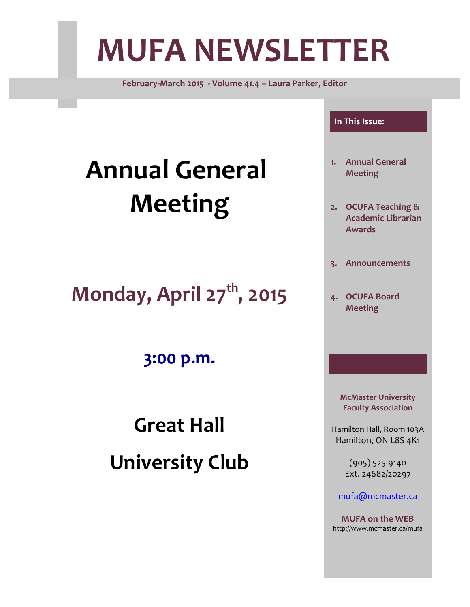# **MUFA NEWSLETTER**

**February-March 2015 - Volume 41.4 – Laura Parker, Editor**

# **Annual General Meeting**

**Monday, April 27th , 2015**

**3:00 p.m.**

**Great Hall University Club**

#### **In This Issue:**

- **1. Annual General Meeting**
- **2. OCUFA Teaching & Academic Librarian Awards**
- **3. Announcements**
- **4. OCUFA Board Meeting**

**McMaster University Faculty Association**

Hamilton Hall, Room 103A Hamilton, ON L8S 4K1

> (905) 525-9140 Ext. 24682/20297

[mufa@mcmaster.ca](mailto:mufa@mcmaster.ca)

**MUFA on the WEB** http://www.mcmaster.ca/mufa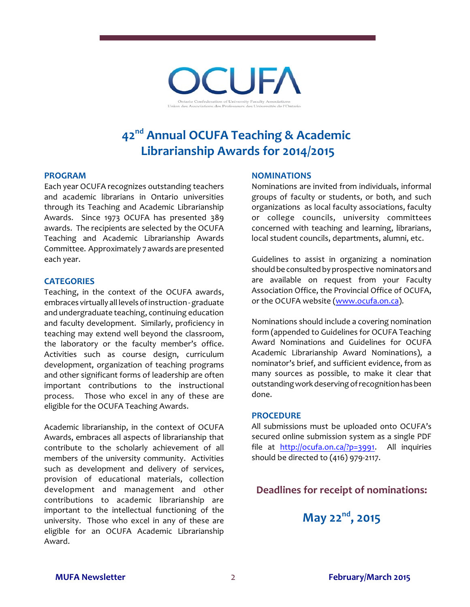

# **42nd Annual OCUFA Teaching & Academic Librarianship Awards for 2014/2015**

#### **PROGRAM**

Each year OCUFA recognizes outstanding teachers and academic librarians in Ontario universities through its Teaching and Academic Librarianship Awards. Since 1973 OCUFA has presented 389 awards. The recipients are selected by the OCUFA Teaching and Academic Librarianship Awards Committee. Approximately 7 awards are presented each year.

#### **CATEGORIES**

Teaching, in the context of the OCUFA awards, embraces virtually all levels of instruction - graduate and undergraduate teaching, continuing education and faculty development. Similarly, proficiency in teaching may extend well beyond the classroom, the laboratory or the faculty member's office. Activities such as course design, curriculum development, organization of teaching programs and other significant forms of leadership are often important contributions to the instructional process. Those who excel in any of these are eligible for the OCUFA Teaching Awards.

Academic librarianship, in the context of OCUFA Awards, embraces all aspects of librarianship that contribute to the scholarly achievement of all members of the university community. Activities such as development and delivery of services, provision of educational materials, collection development and management and other contributions to academic librarianship are important to the intellectual functioning of the university. Those who excel in any of these are eligible for an OCUFA Academic Librarianship Award.

#### **NOMINATIONS**

Nominations are invited from individuals, informal groups of faculty or students, or both, and such organizations as local faculty associations, faculty or college councils, university committees concerned with teaching and learning, librarians, local student councils, departments, alumni, etc.

Guidelines to assist in organizing a nomination should be consulted by prospective nominators and are available on request from your Faculty Association Office, the Provincial Office of OCUFA, or the OCUFA website [\(www.ocufa.on.ca](http://www.ocufa.on.ca)).

Nominations should include a covering nomination form (appended to Guidelines for OCUFA Teaching Award Nominations and Guidelines for OCUFA Academic Librarianship Award Nominations), a nominator's brief, and sufficient evidence, from as many sources as possible, to make it clear that outstanding work deserving of recognition has been done.

#### **PROCEDURE**

All submissions must be uploaded onto OCUFA's secured online submission system as a single PDF file at <http://ocufa.on.ca/?p=3991>. All inquiries should be directed to (416) 979-2117.

#### **Deadlines for receipt of nominations:**

**May 22nd , 2015**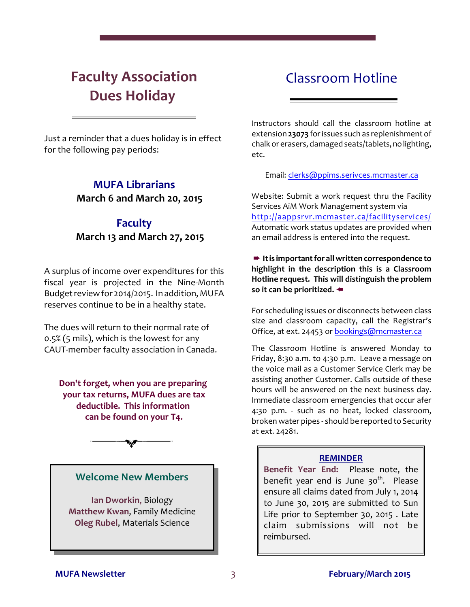# **Faculty Association Dues Holiday**

## Classroom Hotline

Just a reminder that a dues holiday is in effect for the following pay periods:

## **MUFA Librarians March 6 and March 20, 2015**

## **Faculty March 13 and March 27, 2015**

A surplus of income over expenditures for this fiscal year is projected in the Nine-Month Budget review for 2014/2015. In addition, MUFA reserves continue to be in a healthy state.

The dues will return to their normal rate of 0.5% (5 mils), which is the lowest for any CAUT-member faculty association in Canada.

**Don't forget, when you are preparing your tax returns, MUFA dues are tax deductible. This information can be found on your T4.**

**Welcome New Members**

**Ian Dworkin**, Biology **Matthew Kwan**, Family Medicine **Oleg Rubel**, Materials Science

Instructors should call the classroom hotline at extension **23073** forissues such as replenishment of chalk or erasers, damaged seats/tablets,nolighting, etc.

Email: [clerks@ppims.serivces.mcmaster.ca](mailto:clerks@ppims.serivces.mcmaster.ca)

Website: Submit a work request thru the Facility Services AiM Work Management system via <http://aappsrvr.mcmaster.ca/facilityservices/> Automatic work status updates are provided when an email address is entered into the request.

+ **Itis important for all written correspondence to highlight in the description this is a Classroom Hotline request. This will distinguish the problem** so it can be prioritized.  $\triangleleft$ 

For scheduling issues or disconnects between class size and classroom capacity, call the Registrar's Office, at ext. 24453 or [bookings@mcmaster.ca](mailto:bookings@mcmaster.ca)

The Classroom Hotline is answered Monday to Friday, 8:30 a.m. to 4:30 p.m. Leave a message on the voice mail as a Customer Service Clerk may be assisting another Customer. Calls outside of these hours will be answered on the next business day. Immediate classroom emergencies that occur afer 4:30 p.m. - such as no heat, locked classroom, broken water pipes - should be reported to Security at ext. 24281.

#### **REMINDER**

**Benefit Year End:** Please note, the benefit year end is June 30<sup>th</sup>. Please ensure all claims dated from July 1, 2014 to June 30, 2015 are submitted to Sun Life prior to September 30, 2015 . Late claim submissions will not be reimbursed.